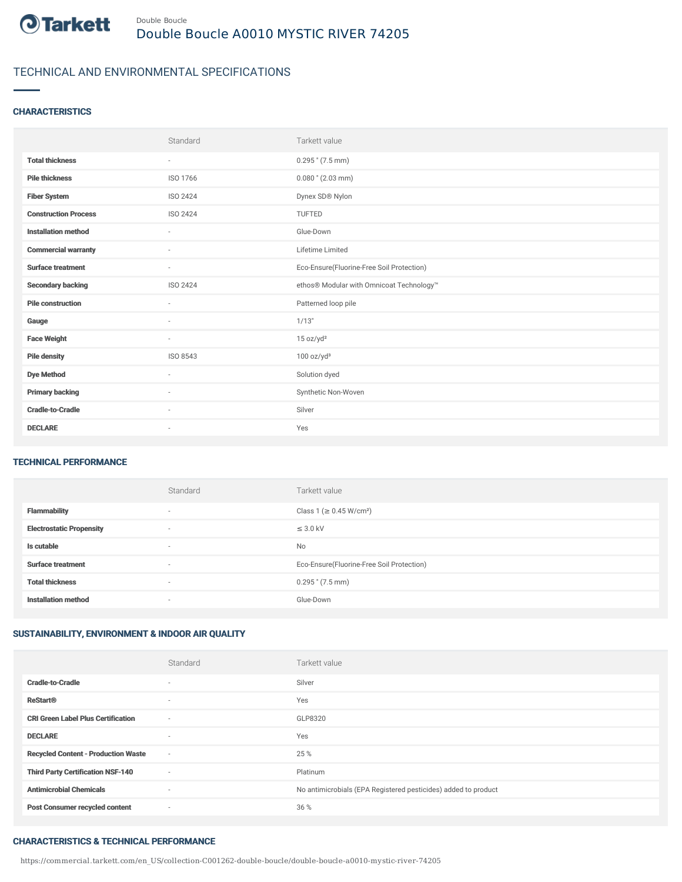

# TECHNICAL AND ENVIRONMENTAL SPECIFICATIONS

### **CHARACTERISTICS**

|                             | Standard                 | Tarkett value                             |
|-----------------------------|--------------------------|-------------------------------------------|
| <b>Total thickness</b>      | $\sim$                   | $0.295$ " $(7.5$ mm)                      |
| <b>Pile thickness</b>       | ISO 1766                 | $0.080$ " (2.03 mm)                       |
| <b>Fiber System</b>         | <b>ISO 2424</b>          | Dynex SD® Nylon                           |
| <b>Construction Process</b> | ISO 2424                 | <b>TUFTED</b>                             |
| <b>Installation method</b>  | $\sim$                   | Glue-Down                                 |
| <b>Commercial warranty</b>  | ٠                        | Lifetime Limited                          |
| <b>Surface treatment</b>    | $\sim$                   | Eco-Ensure(Fluorine-Free Soil Protection) |
| <b>Secondary backing</b>    | ISO 2424                 | ethos® Modular with Omnicoat Technology™  |
| <b>Pile construction</b>    | $\sim$                   | Patterned loop pile                       |
| Gauge                       | $\overline{\phantom{a}}$ | 1/13"                                     |
| <b>Face Weight</b>          | $\overline{\phantom{a}}$ | 15 oz/yd <sup>2</sup>                     |
| <b>Pile density</b>         | ISO 8543                 | 100 oz/yd <sup>3</sup>                    |
| <b>Dye Method</b>           | ٠                        | Solution dyed                             |
| <b>Primary backing</b>      | ٠                        | Synthetic Non-Woven                       |
| <b>Cradle-to-Cradle</b>     | $\sim$                   | Silver                                    |
| <b>DECLARE</b>              | $\overline{\phantom{a}}$ | Yes                                       |

#### TECHNICAL PERFORMANCE

|                                 | Standard                 | Tarkett value                             |
|---------------------------------|--------------------------|-------------------------------------------|
| <b>Flammability</b>             | $\overline{\phantom{a}}$ | Class 1 (≥ 0.45 W/cm <sup>2</sup> )       |
| <b>Electrostatic Propensity</b> | $\overline{\phantom{a}}$ | $\leq$ 3.0 kV                             |
| Is cutable                      | $\overline{\phantom{a}}$ | <b>No</b>                                 |
| <b>Surface treatment</b>        | $\overline{\phantom{a}}$ | Eco-Ensure(Fluorine-Free Soil Protection) |
| <b>Total thickness</b>          | $\overline{\phantom{a}}$ | $0.295$ " $(7.5 \text{ mm})$              |
| <b>Installation method</b>      | $\overline{\phantom{a}}$ | Glue-Down                                 |

### SUSTAINABILITY, ENVIRONMENT & INDOOR AIR QUALITY

|                                            | Standard                 | Tarkett value                                                  |
|--------------------------------------------|--------------------------|----------------------------------------------------------------|
| <b>Cradle-to-Cradle</b>                    | $\overline{\phantom{a}}$ | Silver                                                         |
| <b>ReStart®</b>                            | $\sim$                   | Yes                                                            |
| <b>CRI Green Label Plus Certification</b>  | $\sim$                   | GLP8320                                                        |
| <b>DECLARE</b>                             | $\overline{\phantom{a}}$ | Yes                                                            |
| <b>Recycled Content - Production Waste</b> | $\sim$                   | 25 %                                                           |
| <b>Third Party Certification NSF-140</b>   | ٠                        | Platinum                                                       |
| <b>Antimicrobial Chemicals</b>             | ٠                        | No antimicrobials (EPA Registered pesticides) added to product |
| <b>Post Consumer recycled content</b>      | ٠                        | 36 %                                                           |

#### CHARACTERISTICS & TECHNICAL PERFORMANCE

https://commercial.tarkett.com/en\_US/collection-C001262-double-boucle/double-boucle-a0010-mystic-river-74205